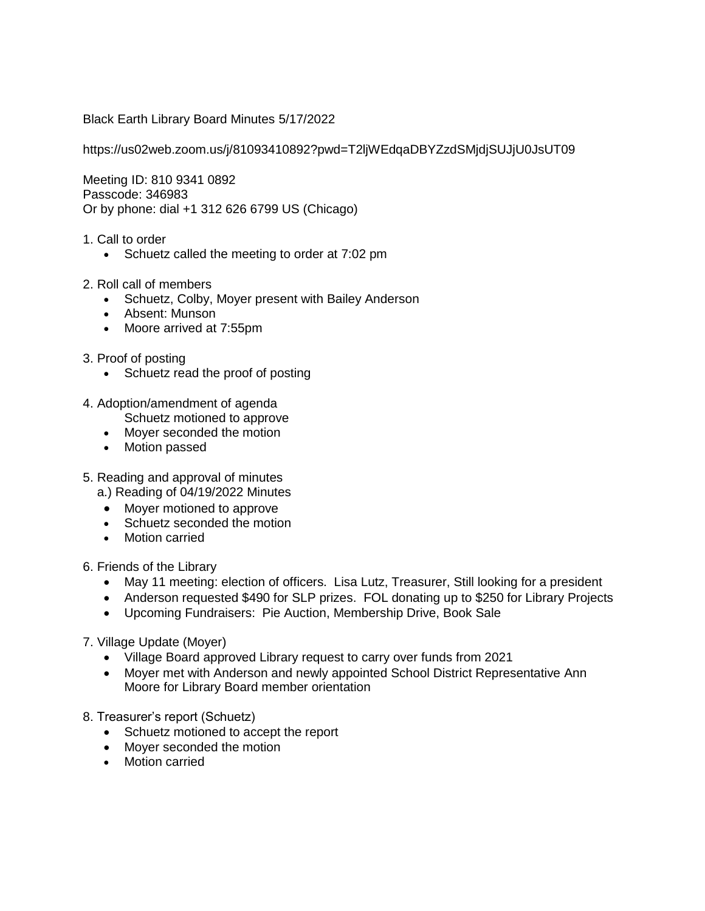Black Earth Library Board Minutes 5/17/2022

https://us02web.zoom.us/j/81093410892?pwd=T2ljWEdqaDBYZzdSMjdjSUJjU0JsUT09

Meeting ID: 810 9341 0892 Passcode: 346983 Or by phone: dial +1 312 626 6799 US (Chicago)

- 1. Call to order
	- Schuetz called the meeting to order at 7:02 pm
- 2. Roll call of members
	- Schuetz, Colby, Moyer present with Bailey Anderson
	- Absent: Munson
	- Moore arrived at 7:55pm
- 3. Proof of posting
	- Schuetz read the proof of posting
- 4. Adoption/amendment of agenda Schuetz motioned to approve
	- Mover seconded the motion
	- Motion passed
- 5. Reading and approval of minutes
	- a.) Reading of 04/19/2022 Minutes
	- Moyer motioned to approve
	- Schuetz seconded the motion
	- Motion carried

6. Friends of the Library

- May 11 meeting: election of officers. Lisa Lutz, Treasurer, Still looking for a president
- Anderson requested \$490 for SLP prizes. FOL donating up to \$250 for Library Projects
- Upcoming Fundraisers: Pie Auction, Membership Drive, Book Sale

7. Village Update (Moyer)

- Village Board approved Library request to carry over funds from 2021
- Moyer met with Anderson and newly appointed School District Representative Ann Moore for Library Board member orientation
- 8. Treasurer's report (Schuetz)
	- Schuetz motioned to accept the report
	- Moyer seconded the motion
	- Motion carried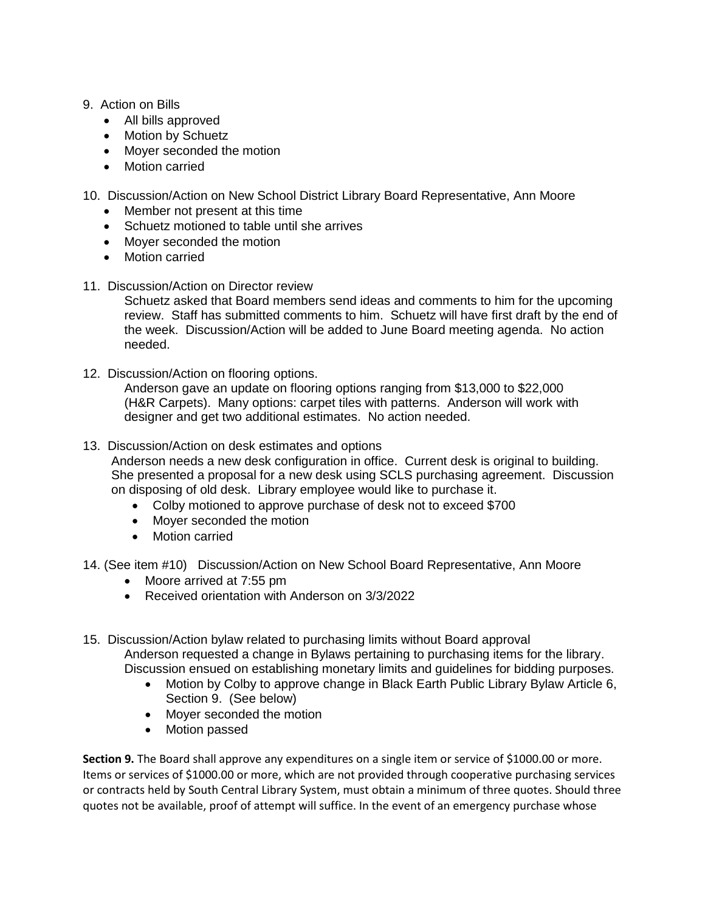## 9. Action on Bills

- All bills approved
- Motion by Schuetz
- Moyer seconded the motion
- Motion carried
- 10. Discussion/Action on New School District Library Board Representative, Ann Moore
	- Member not present at this time
	- Schuetz motioned to table until she arrives
	- Moyer seconded the motion
	- Motion carried
- 11. Discussion/Action on Director review

Schuetz asked that Board members send ideas and comments to him for the upcoming review. Staff has submitted comments to him. Schuetz will have first draft by the end of the week. Discussion/Action will be added to June Board meeting agenda. No action needed.

12. Discussion/Action on flooring options.

Anderson gave an update on flooring options ranging from \$13,000 to \$22,000 (H&R Carpets). Many options: carpet tiles with patterns. Anderson will work with designer and get two additional estimates. No action needed.

## 13. Discussion/Action on desk estimates and options

Anderson needs a new desk configuration in office. Current desk is original to building. She presented a proposal for a new desk using SCLS purchasing agreement. Discussion on disposing of old desk. Library employee would like to purchase it.

- Colby motioned to approve purchase of desk not to exceed \$700
- Moyer seconded the motion
- Motion carried

## 14. (See item #10) Discussion/Action on New School Board Representative, Ann Moore

- Moore arrived at 7:55 pm
- Received orientation with Anderson on 3/3/2022
- 15. Discussion/Action bylaw related to purchasing limits without Board approval Anderson requested a change in Bylaws pertaining to purchasing items for the library. Discussion ensued on establishing monetary limits and guidelines for bidding purposes.
	- Motion by Colby to approve change in Black Earth Public Library Bylaw Article 6, Section 9. (See below)
	- Moyer seconded the motion
	- Motion passed

**Section 9.** The Board shall approve any expenditures on a single item or service of \$1000.00 or more. Items or services of \$1000.00 or more, which are not provided through cooperative purchasing services or contracts held by South Central Library System, must obtain a minimum of three quotes. Should three quotes not be available, proof of attempt will suffice. In the event of an emergency purchase whose